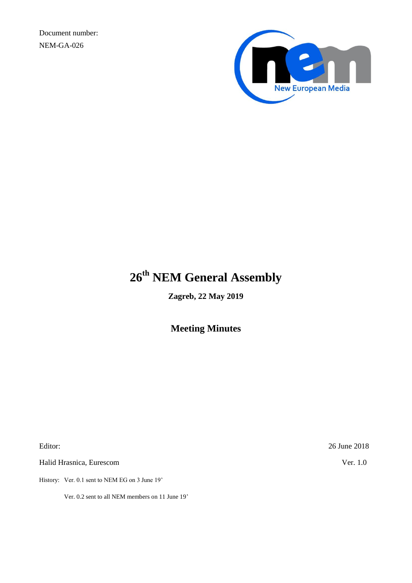Document number: NEM-GA-026



# **26 th NEM General Assembly**

**Zagreb, 22 May 2019**

**Meeting Minutes**

Halid Hrasnica, Eurescom Ver. 1.0

History: Ver. 0.1 sent to NEM EG on 3 June 19'

Ver. 0.2 sent to all NEM members on 11 June 19'

Editor: 26 June 2018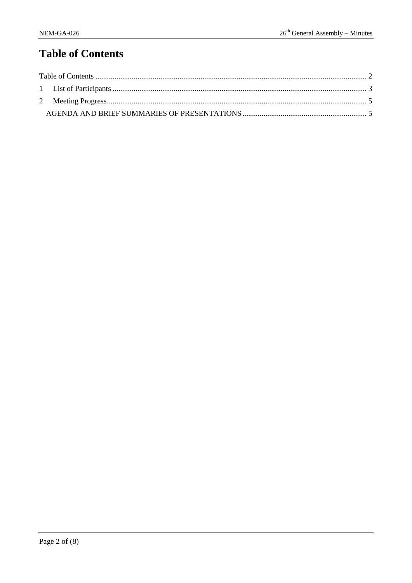# <span id="page-1-0"></span>**Table of Contents**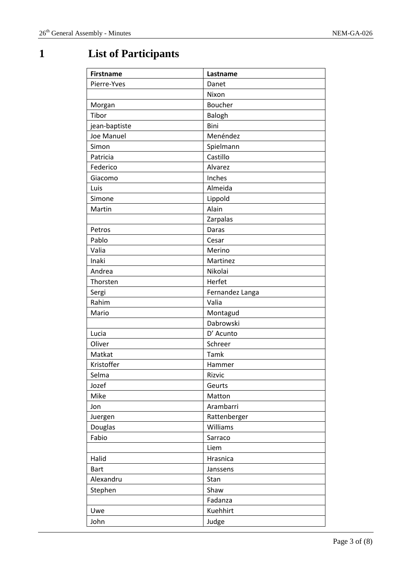# <span id="page-2-0"></span>**1 List of Participants**

| <b>Firstname</b> | Lastname        |
|------------------|-----------------|
| Pierre-Yves      | Danet           |
|                  | Nixon           |
| Morgan           | Boucher         |
| Tibor            | Balogh          |
| jean-baptiste    | Bini            |
| Joe Manuel       | Menéndez        |
| Simon            | Spielmann       |
| Patricia         | Castillo        |
| Federico         | Alvarez         |
| Giacomo          | Inches          |
| Luis             | Almeida         |
| Simone           | Lippold         |
| Martin           | Alain           |
|                  | Zarpalas        |
| Petros           | Daras           |
| Pablo            | Cesar           |
| Valia            | Merino          |
| Inaki            | Martinez        |
| Andrea           | Nikolai         |
| Thorsten         | Herfet          |
| Sergi            | Fernandez Langa |
| Rahim            | Valia           |
| Mario            | Montagud        |
|                  | Dabrowski       |
| Lucia            | D' Acunto       |
| Oliver           | Schreer         |
| Matkat           | Tamk            |
| Kristoffer       | Hammer          |
| Selma            | Rizvic          |
| Jozef            | Geurts          |
| Mike             | Matton          |
| Jon              | Arambarri       |
| Juergen          | Rattenberger    |
| Douglas          | Williams        |
| Fabio            | Sarraco         |
|                  | Liem            |
| Halid            | Hrasnica        |
| <b>Bart</b>      | Janssens        |
| Alexandru        | Stan            |
| Stephen          | Shaw            |
|                  | Fadanza         |
| Uwe              | Kuehhirt        |
| John             | Judge           |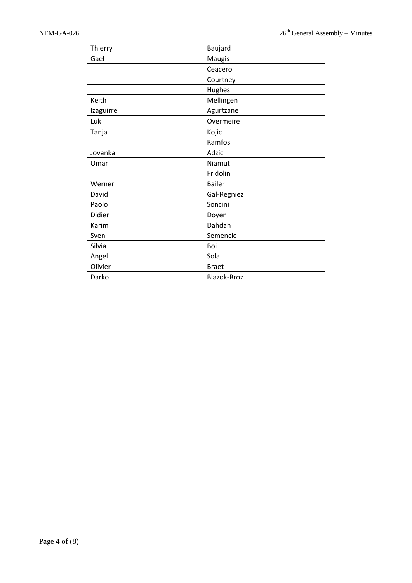| Thierry   | Baujard       |
|-----------|---------------|
| Gael      | Maugis        |
|           | Ceacero       |
|           | Courtney      |
|           | Hughes        |
| Keith     | Mellingen     |
| Izaguirre | Agurtzane     |
| Luk       | Overmeire     |
| Tanja     | Kojic         |
|           | Ramfos        |
| Jovanka   | Adzic         |
| Omar      | Niamut        |
|           | Fridolin      |
| Werner    | <b>Bailer</b> |
| David     | Gal-Regniez   |
| Paolo     | Soncini       |
| Didier    | Doyen         |
| Karim     | Dahdah        |
| Sven      | Semencic      |
| Silvia    | Boi           |
| Angel     | Sola          |
| Olivier   | <b>Braet</b>  |
| Darko     | Blazok-Broz   |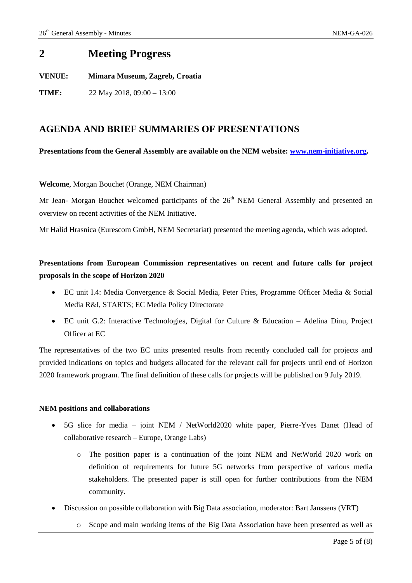## <span id="page-4-0"></span>**2 Meeting Progress**

**VENUE: Mimara Museum, Zagreb, Croatia**

**TIME:** 22 May 2018, 09:00 – 13:00

## <span id="page-4-1"></span>**AGENDA AND BRIEF SUMMARIES OF PRESENTATIONS**

### **Presentations from the General Assembly are available on the NEM website: [www.nem-initiative.org.](http://www.nem-initiative.org/)**

### **Welcome**, Morgan Bouchet (Orange, NEM Chairman)

Mr Jean- Morgan Bouchet welcomed participants of the 26<sup>th</sup> NEM General Assembly and presented an overview on recent activities of the NEM Initiative.

Mr Halid Hrasnica (Eurescom GmbH, NEM Secretariat) presented the meeting agenda, which was adopted.

## **Presentations from European Commission representatives on recent and future calls for project proposals in the scope of Horizon 2020**

- EC unit I.4: Media Convergence & Social Media, Peter Fries, Programme Officer Media & Social Media R&I, STARTS; EC Media Policy Directorate
- EC unit G.2: Interactive Technologies, Digital for Culture & Education Adelina Dinu, Project Officer at EC

The representatives of the two EC units presented results from recently concluded call for projects and provided indications on topics and budgets allocated for the relevant call for projects until end of Horizon 2020 framework program. The final definition of these calls for projects will be published on 9 July 2019.

#### **NEM positions and collaborations**

- 5G slice for media joint NEM / NetWorld2020 white paper, Pierre-Yves Danet (Head of collaborative research – Europe, Orange Labs)
	- o The position paper is a continuation of the joint NEM and NetWorld 2020 work on definition of requirements for future 5G networks from perspective of various media stakeholders. The presented paper is still open for further contributions from the NEM community.
- Discussion on possible collaboration with Big Data association, moderator: Bart Janssens (VRT)
	- o Scope and main working items of the Big Data Association have been presented as well as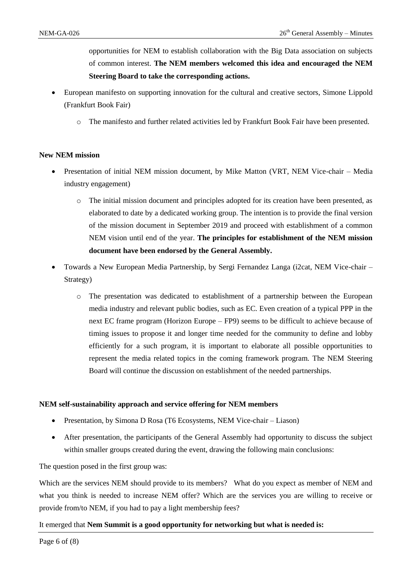opportunities for NEM to establish collaboration with the Big Data association on subjects of common interest. **The NEM members welcomed this idea and encouraged the NEM Steering Board to take the corresponding actions.**

- European manifesto on supporting innovation for the cultural and creative sectors, Simone Lippold (Frankfurt Book Fair)
	- o The manifesto and further related activities led by Frankfurt Book Fair have been presented.

#### **New NEM mission**

- Presentation of initial NEM mission document, by Mike Matton (VRT, NEM Vice-chair Media industry engagement)
	- o The initial mission document and principles adopted for its creation have been presented, as elaborated to date by a dedicated working group. The intention is to provide the final version of the mission document in September 2019 and proceed with establishment of a common NEM vision until end of the year. **The principles for establishment of the NEM mission document have been endorsed by the General Assembly.**
- Towards a New European Media Partnership, by Sergi Fernandez Langa (i2cat, NEM Vice-chair Strategy)
	- o The presentation was dedicated to establishment of a partnership between the European media industry and relevant public bodies, such as EC. Even creation of a typical PPP in the next EC frame program (Horizon Europe – FP9) seems to be difficult to achieve because of timing issues to propose it and longer time needed for the community to define and lobby efficiently for a such program, it is important to elaborate all possible opportunities to represent the media related topics in the coming framework program. The NEM Steering Board will continue the discussion on establishment of the needed partnerships.

#### **NEM self-sustainability approach and service offering for NEM members**

- Presentation, by Simona D Rosa (T6 Ecosystems, NEM Vice-chair Liason)
- After presentation, the participants of the General Assembly had opportunity to discuss the subject within smaller groups created during the event, drawing the following main conclusions:

The question posed in the first group was:

Which are the services NEM should provide to its members? What do you expect as member of NEM and what you think is needed to increase NEM offer? Which are the services you are willing to receive or provide from/to NEM, if you had to pay a light membership fees?

#### It emerged that **Nem Summit is a good opportunity for networking but what is needed is:**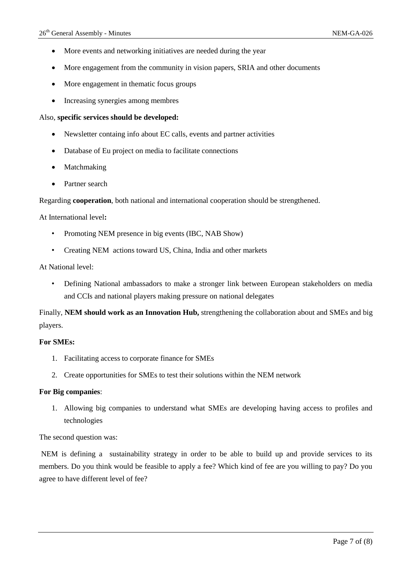- More events and networking initiatives are needed during the year
- More engagement from the community in vision papers, SRIA and other documents
- More engagement in thematic focus groups
- Increasing synergies among membres

#### Also, **specific services should be developed:**

- Newsletter containg info about EC calls, events and partner activities
- Database of Eu project on media to facilitate connections
- Matchmaking
- Partner search

Regarding **cooperation**, both national and international cooperation should be strengthened.

#### At International level**:**

- Promoting NEM presence in big events (IBC, NAB Show)
- Creating NEM actions toward US, China, India and other markets

#### At National level:

• Defining National ambassadors to make a stronger link between European stakeholders on media and CCIs and national players making pressure on national delegates

Finally, **NEM should work as an Innovation Hub,** strengthening the collaboration about and SMEs and big players.

#### **For SMEs:**

- 1. Facilitating access to corporate finance for SMEs
- 2. Create opportunities for SMEs to test their solutions within the NEM network

#### **For Big companies**:

1. Allowing big companies to understand what SMEs are developing having access to profiles and technologies

The second question was:

NEM is defining a sustainability strategy in order to be able to build up and provide services to its members. Do you think would be feasible to apply a fee? Which kind of fee are you willing to pay? Do you agree to have different level of fee?